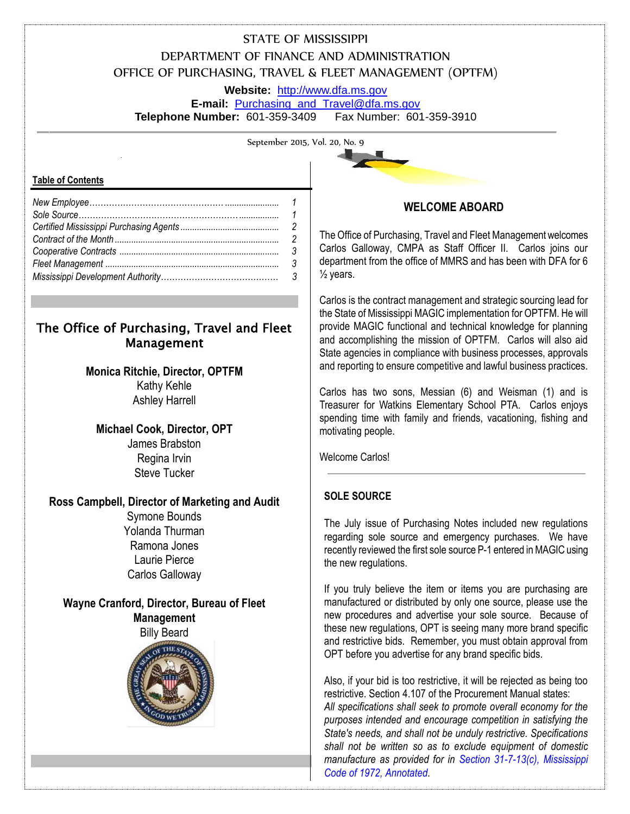# STATE OF MISSISSIPPI DEPARTMENT OF FINANCE AND ADMINISTRATION OFFICE OF PURCHASING, TRAVEL & FLEET MANAGEMENT (OPTFM)

**Website:** [http://www.dfa.ms.gov](http://www.dfa.ms.gov/)

**E-mail:** [Purchasing\\_and\\_Travel@dfa.ms.gov](mailto:Purchasing_and_Travel@dfa.ms.gov) **Telephone Number:** 601-359-3409 Fax Number: 601-359-3910

September 2015, Vol. 20, No. 9

#### **Table of Contents**

# The Office of Purchasing, Travel and Fleet Management

## **Monica Ritchie, Director, OPTFM** Kathy Kehle Ashley Harrell

**Michael Cook, Director, OPT** James Brabston Regina Irvin Steve Tucker

## **Ross Campbell, Director of Marketing and Audit**

Symone Bounds Yolanda Thurman Ramona Jones Laurie Pierce Carlos Galloway

# **Wayne Cranford, Director, Bureau of Fleet Management**

Billy Beard





## **WELCOME ABOARD**

The Office of Purchasing, Travel and Fleet Management welcomes Carlos Galloway, CMPA as Staff Officer II. Carlos joins our department from the office of MMRS and has been with DFA for 6  $\frac{1}{2}$  years.

Carlos is the contract management and strategic sourcing lead for the State of Mississippi MAGIC implementation for OPTFM. He will provide MAGIC functional and technical knowledge for planning and accomplishing the mission of OPTFM. Carlos will also aid State agencies in compliance with business processes, approvals and reporting to ensure competitive and lawful business practices.

Carlos has two sons, Messian (6) and Weisman (1) and is Treasurer for Watkins Elementary School PTA. Carlos enjoys spending time with family and friends, vacationing, fishing and motivating people.

Welcome Carlos!

## **SOLE SOURCE**

The July issue of Purchasing Notes included new regulations regarding sole source and emergency purchases. We have recently reviewed the first sole source P-1 entered in MAGIC using the new regulations.

If you truly believe the item or items you are purchasing are manufactured or distributed by only one source, please use the new procedures and advertise your sole source. Because of these new regulations, OPT is seeing many more brand specific and restrictive bids. Remember, you must obtain approval from OPT before you advertise for any brand specific bids.

Also, if your bid is too restrictive, it will be rejected as being too restrictive. Section 4.107 of the Procurement Manual states: *All specifications shall seek to promote overall economy for the purposes intended and encourage competition in satisfying the State's needs, and shall not be unduly restrictive. Specifications shall not be written so as to exclude equipment of domestic manufacture as provided for in Section 31-7-13(c), Mississippi Code of 1972, Annotated.*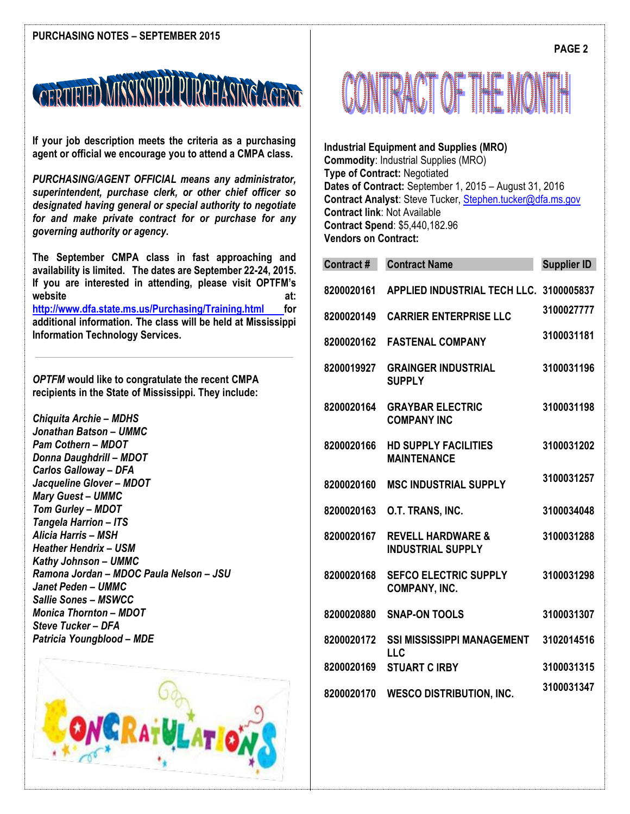

**If your job description meets the criteria as a purchasing agent or official we encourage you to attend a CMPA class.**

*PURCHASING/AGENT OFFICIAL means any administrator, superintendent, purchase clerk, or other chief officer so designated having general or special authority to negotiate for and make private contract for or purchase for any governing authority or agency.* 

**The September CMPA class in fast approaching and availability is limited. The dates are September 22-24, 2015. If you are interested in attending, please visit OPTFM's**  website at: **at:**  $\alpha$ **[http://www.dfa.state.ms.us/Purchasing/Training.html f](http://www.dfa.state.ms.us/Purchasing/Training.html)or additional information. The class will be held at Mississippi** 

**Information Technology Services.** 

*OPTFM* **would like to congratulate the recent CMPA recipients in the State of Mississippi. They include:**

*Chiquita Archie – MDHS Jonathan Batson – UMMC Pam Cothern – MDOT Donna Daughdrill – MDOT Carlos Galloway – DFA Jacqueline Glover – MDOT Mary Guest – UMMC Tom Gurley – MDOT Tangela Harrion – ITS Alicia Harris – MSH Heather Hendrix – USM Kathy Johnson – UMMC Ramona Jordan – MDOC Paula Nelson – JSU Janet Peden – UMMC Sallie Sones – MSWCC Monica Thornton – MDOT Steve Tucker – DFA Patricia Youngblood – MDE*





**Industrial Equipment and Supplies (MRO) Commodity**: Industrial Supplies (MRO) **Type of Contract:** Negotiated **Dates of Contract:** September 1, 2015 – August 31, 2016 **Contract Analyst**: Steve Tucker, [Stephen.tucker@dfa.ms.gov](mailto:Stephen.tucker@dfa.ms.gov) **Contract link**: Not Available **Contract Spend**: \$5,440,182.96 **Vendors on Contract:**

| <b>Contract#</b> | <b>Contract Name</b>                                     | <b>Supplier ID</b> |
|------------------|----------------------------------------------------------|--------------------|
| 8200020161       | APPLIED INDUSTRIAL TECH LLC. 3100005837                  |                    |
| 8200020149       | <b>CARRIER ENTERPRISE LLC</b>                            | 3100027777         |
| 8200020162       | <b>FASTENAL COMPANY</b>                                  | 3100031181         |
| 8200019927       | <b>GRAINGER INDUSTRIAL</b><br><b>SUPPLY</b>              | 3100031196         |
| 8200020164       | <b>GRAYBAR ELECTRIC</b><br><b>COMPANY INC</b>            | 3100031198         |
| 8200020166       | <b>HD SUPPLY FACILITIES</b><br><b>MAINTENANCE</b>        | 3100031202         |
| 8200020160       | <b>MSC INDUSTRIAL SUPPLY</b>                             | 3100031257         |
| 8200020163       | O.T. TRANS, INC.                                         | 3100034048         |
| 8200020167       | <b>REVELL HARDWARE &amp;</b><br><b>INDUSTRIAL SUPPLY</b> | 3100031288         |
| 8200020168       | <b>SEFCO ELECTRIC SUPPLY</b><br>COMPANY, INC.            | 3100031298         |
| 8200020880       | <b>SNAP-ON TOOLS</b>                                     | 3100031307         |
| 8200020172       | <b>SSI MISSISSIPPI MANAGEMENT</b><br><b>LLC</b>          | 3102014516         |
| 8200020169       | <b>STUART CIRBY</b>                                      | 3100031315         |
| 8200020170       | <b>WESCO DISTRIBUTION, INC.</b>                          | 3100031347         |